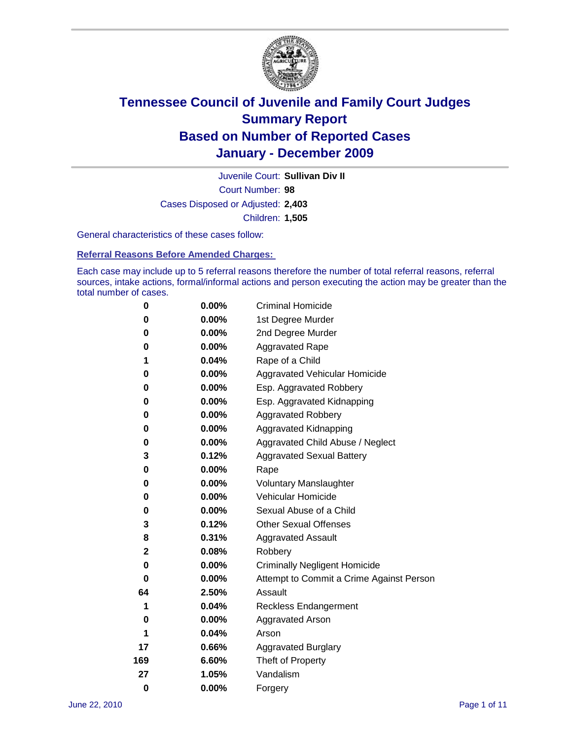

Court Number: **98** Juvenile Court: **Sullivan Div II** Cases Disposed or Adjusted: **2,403** Children: **1,505**

General characteristics of these cases follow:

**Referral Reasons Before Amended Charges:** 

Each case may include up to 5 referral reasons therefore the number of total referral reasons, referral sources, intake actions, formal/informal actions and person executing the action may be greater than the total number of cases.

| 0        | $0.00\%$ | <b>Criminal Homicide</b>                 |  |  |  |
|----------|----------|------------------------------------------|--|--|--|
| 0        | 0.00%    | 1st Degree Murder                        |  |  |  |
| 0        | $0.00\%$ | 2nd Degree Murder                        |  |  |  |
| 0        | 0.00%    | <b>Aggravated Rape</b>                   |  |  |  |
| 1        | 0.04%    | Rape of a Child                          |  |  |  |
| 0        | 0.00%    | Aggravated Vehicular Homicide            |  |  |  |
| 0        | 0.00%    | Esp. Aggravated Robbery                  |  |  |  |
| 0        | $0.00\%$ | Esp. Aggravated Kidnapping               |  |  |  |
| 0        | $0.00\%$ | <b>Aggravated Robbery</b>                |  |  |  |
| 0        | $0.00\%$ | Aggravated Kidnapping                    |  |  |  |
| 0        | 0.00%    | Aggravated Child Abuse / Neglect         |  |  |  |
| 3        | 0.12%    | <b>Aggravated Sexual Battery</b>         |  |  |  |
| 0        | 0.00%    | Rape                                     |  |  |  |
| 0        | $0.00\%$ | <b>Voluntary Manslaughter</b>            |  |  |  |
| 0        | 0.00%    | Vehicular Homicide                       |  |  |  |
| 0        | 0.00%    | Sexual Abuse of a Child                  |  |  |  |
| 3        | 0.12%    | <b>Other Sexual Offenses</b>             |  |  |  |
| 8        | 0.31%    | <b>Aggravated Assault</b>                |  |  |  |
| 2        | 0.08%    | Robbery                                  |  |  |  |
| 0        | 0.00%    | <b>Criminally Negligent Homicide</b>     |  |  |  |
| 0        | $0.00\%$ | Attempt to Commit a Crime Against Person |  |  |  |
| 64       | 2.50%    | Assault                                  |  |  |  |
| 1        | 0.04%    | <b>Reckless Endangerment</b>             |  |  |  |
| 0        | 0.00%    | <b>Aggravated Arson</b>                  |  |  |  |
| 1        | 0.04%    | Arson                                    |  |  |  |
| 17       | 0.66%    | <b>Aggravated Burglary</b>               |  |  |  |
| 169      | 6.60%    | Theft of Property                        |  |  |  |
| 27       | 1.05%    | Vandalism                                |  |  |  |
| $\bf{0}$ | 0.00%    | Forgery                                  |  |  |  |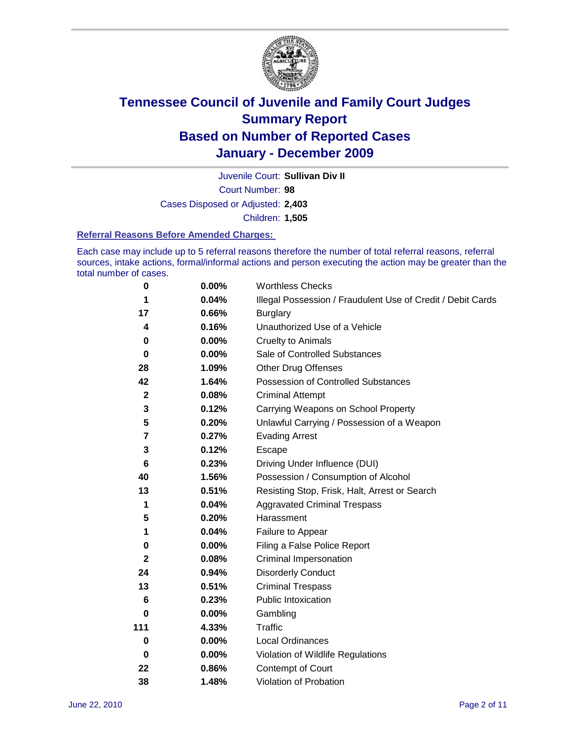

Court Number: **98** Juvenile Court: **Sullivan Div II** Cases Disposed or Adjusted: **2,403**

Children: **1,505**

#### **Referral Reasons Before Amended Charges:**

Each case may include up to 5 referral reasons therefore the number of total referral reasons, referral sources, intake actions, formal/informal actions and person executing the action may be greater than the total number of cases.

| $\pmb{0}$    | 0.00%    | <b>Worthless Checks</b>                                     |
|--------------|----------|-------------------------------------------------------------|
| 1            | 0.04%    | Illegal Possession / Fraudulent Use of Credit / Debit Cards |
| 17           | 0.66%    | <b>Burglary</b>                                             |
| 4            | 0.16%    | Unauthorized Use of a Vehicle                               |
| 0            | $0.00\%$ | <b>Cruelty to Animals</b>                                   |
| $\bf{0}$     | $0.00\%$ | Sale of Controlled Substances                               |
| 28           | 1.09%    | <b>Other Drug Offenses</b>                                  |
| 42           | 1.64%    | Possession of Controlled Substances                         |
| $\mathbf 2$  | 0.08%    | <b>Criminal Attempt</b>                                     |
| 3            | 0.12%    | Carrying Weapons on School Property                         |
| 5            | 0.20%    | Unlawful Carrying / Possession of a Weapon                  |
| 7            | 0.27%    | <b>Evading Arrest</b>                                       |
| 3            | 0.12%    | Escape                                                      |
| 6            | 0.23%    | Driving Under Influence (DUI)                               |
| 40           | 1.56%    | Possession / Consumption of Alcohol                         |
| 13           | 0.51%    | Resisting Stop, Frisk, Halt, Arrest or Search               |
| 1            | 0.04%    | <b>Aggravated Criminal Trespass</b>                         |
| 5            | 0.20%    | Harassment                                                  |
| 1            | 0.04%    | Failure to Appear                                           |
| 0            | $0.00\%$ | Filing a False Police Report                                |
| $\mathbf{2}$ | 0.08%    | Criminal Impersonation                                      |
| 24           | 0.94%    | <b>Disorderly Conduct</b>                                   |
| 13           | 0.51%    | <b>Criminal Trespass</b>                                    |
| 6            | 0.23%    | <b>Public Intoxication</b>                                  |
| 0            | $0.00\%$ | Gambling                                                    |
| 111          | 4.33%    | <b>Traffic</b>                                              |
| 0            | $0.00\%$ | <b>Local Ordinances</b>                                     |
| $\mathbf 0$  | 0.00%    | Violation of Wildlife Regulations                           |
| 22           | 0.86%    | Contempt of Court                                           |
| 38           | 1.48%    | Violation of Probation                                      |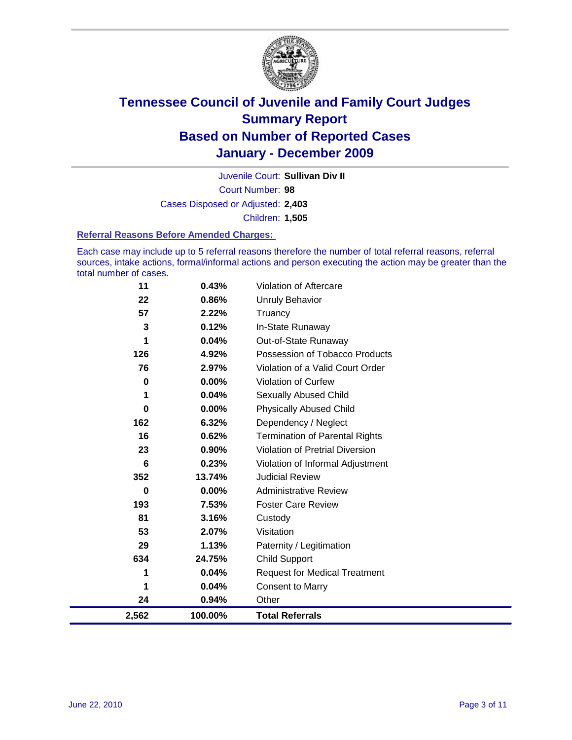

Court Number: **98** Juvenile Court: **Sullivan Div II** Cases Disposed or Adjusted: **2,403** Children: **1,505**

#### **Referral Reasons Before Amended Charges:**

Each case may include up to 5 referral reasons therefore the number of total referral reasons, referral sources, intake actions, formal/informal actions and person executing the action may be greater than the total number of cases.

| 11       | 0.43%    | Violation of Aftercare                 |
|----------|----------|----------------------------------------|
| 22       | 0.86%    | Unruly Behavior                        |
| 57       | 2.22%    | Truancy                                |
| 3        | 0.12%    | In-State Runaway                       |
| 1        | 0.04%    | Out-of-State Runaway                   |
| 126      | 4.92%    | Possession of Tobacco Products         |
| 76       | 2.97%    | Violation of a Valid Court Order       |
| 0        | 0.00%    | <b>Violation of Curfew</b>             |
| 1        | 0.04%    | <b>Sexually Abused Child</b>           |
| $\bf{0}$ | 0.00%    | <b>Physically Abused Child</b>         |
| 162      | 6.32%    | Dependency / Neglect                   |
| 16       | 0.62%    | <b>Termination of Parental Rights</b>  |
| 23       | 0.90%    | <b>Violation of Pretrial Diversion</b> |
| 6        | 0.23%    | Violation of Informal Adjustment       |
| 352      | 13.74%   | <b>Judicial Review</b>                 |
| 0        | $0.00\%$ | <b>Administrative Review</b>           |
| 193      | 7.53%    | <b>Foster Care Review</b>              |
| 81       | 3.16%    | Custody                                |
| 53       | 2.07%    | Visitation                             |
| 29       | 1.13%    | Paternity / Legitimation               |
| 634      | 24.75%   | <b>Child Support</b>                   |
| 1        | 0.04%    | <b>Request for Medical Treatment</b>   |
| 1        | 0.04%    | <b>Consent to Marry</b>                |
| 24       | 0.94%    | Other                                  |
| 2,562    | 100.00%  | <b>Total Referrals</b>                 |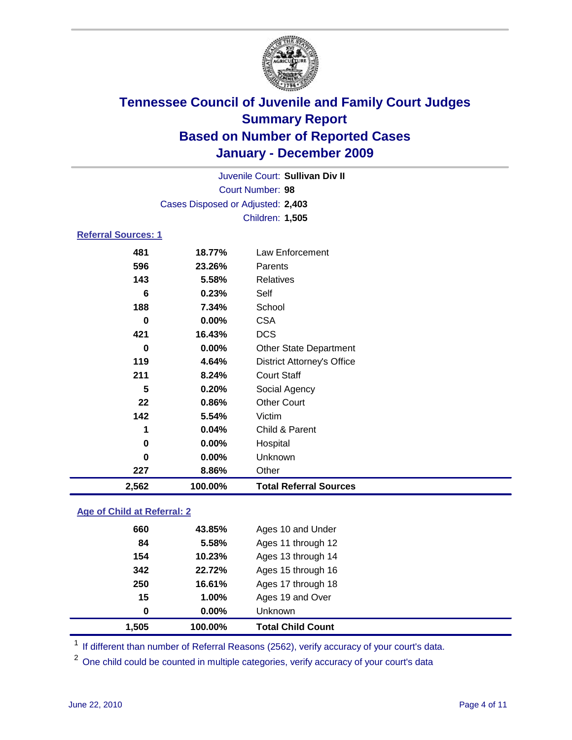

| Juvenile Court: Sullivan Div II |                                   |                                   |  |  |  |
|---------------------------------|-----------------------------------|-----------------------------------|--|--|--|
| <b>Court Number: 98</b>         |                                   |                                   |  |  |  |
|                                 | Cases Disposed or Adjusted: 2,403 |                                   |  |  |  |
|                                 | Children: 1,505                   |                                   |  |  |  |
| <b>Referral Sources: 1</b>      |                                   |                                   |  |  |  |
| 481                             | 18.77%                            | Law Enforcement                   |  |  |  |
| 596                             | 23.26%                            | Parents                           |  |  |  |
| 143                             | 5.58%                             | <b>Relatives</b>                  |  |  |  |
| 6                               | 0.23%                             | Self                              |  |  |  |
| 188                             | 7.34%                             | School                            |  |  |  |
| $\bf{0}$                        | $0.00\%$                          | <b>CSA</b>                        |  |  |  |
| 421                             | 16.43%                            | <b>DCS</b>                        |  |  |  |
| $\Omega$                        | 0.00%                             | <b>Other State Department</b>     |  |  |  |
| 119                             | 4.64%                             | <b>District Attorney's Office</b> |  |  |  |
| 211                             | 8.24%                             | <b>Court Staff</b>                |  |  |  |
| 5                               | 0.20%                             | Social Agency                     |  |  |  |
| 22                              | 0.86%                             | <b>Other Court</b>                |  |  |  |
| 142                             | 5.54%                             | Victim                            |  |  |  |
| 1                               | 0.04%                             | Child & Parent                    |  |  |  |
| $\bf{0}$                        | $0.00\%$                          | Hospital                          |  |  |  |
| $\bf{0}$                        | 0.00%                             | Unknown                           |  |  |  |
| 227                             | 8.86%                             | Other                             |  |  |  |
| 2,562                           | 100.00%                           | <b>Total Referral Sources</b>     |  |  |  |

### **Age of Child at Referral: 2**

|     |        | <b>Unknown</b>     |  |
|-----|--------|--------------------|--|
| 15  | 1.00%  | Ages 19 and Over   |  |
| 250 | 16.61% | Ages 17 through 18 |  |
| 342 | 22.72% | Ages 15 through 16 |  |
| 154 | 10.23% | Ages 13 through 14 |  |
| 84  | 5.58%  | Ages 11 through 12 |  |
| 660 | 43.85% | Ages 10 and Under  |  |
|     |        | 0.00%<br>0         |  |

<sup>1</sup> If different than number of Referral Reasons (2562), verify accuracy of your court's data.

<sup>2</sup> One child could be counted in multiple categories, verify accuracy of your court's data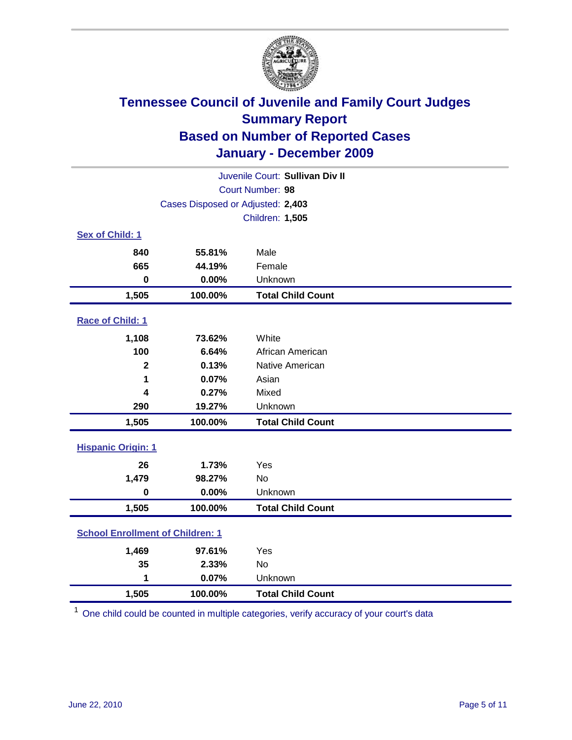

| Juvenile Court: Sullivan Div II         |                                   |                          |  |  |  |
|-----------------------------------------|-----------------------------------|--------------------------|--|--|--|
|                                         | Court Number: 98                  |                          |  |  |  |
|                                         | Cases Disposed or Adjusted: 2,403 |                          |  |  |  |
|                                         |                                   | Children: 1,505          |  |  |  |
| Sex of Child: 1                         |                                   |                          |  |  |  |
| 840                                     | 55.81%                            | Male                     |  |  |  |
| 665                                     | 44.19%                            | Female                   |  |  |  |
| $\mathbf 0$                             | 0.00%                             | Unknown                  |  |  |  |
| 1,505                                   | 100.00%                           | <b>Total Child Count</b> |  |  |  |
| Race of Child: 1                        |                                   |                          |  |  |  |
| 1,108                                   | 73.62%                            | White                    |  |  |  |
| 100                                     | 6.64%                             | African American         |  |  |  |
| $\overline{\mathbf{2}}$                 | 0.13%                             | Native American          |  |  |  |
| 1                                       | 0.07%                             | Asian                    |  |  |  |
| 4                                       | 0.27%                             | Mixed                    |  |  |  |
| 290                                     | 19.27%                            | Unknown                  |  |  |  |
| 1,505                                   | 100.00%                           | <b>Total Child Count</b> |  |  |  |
|                                         | <b>Hispanic Origin: 1</b>         |                          |  |  |  |
| 26                                      | 1.73%                             | Yes                      |  |  |  |
| 1,479                                   | 98.27%                            | No                       |  |  |  |
| $\mathbf 0$                             | 0.00%                             | Unknown                  |  |  |  |
| 1,505                                   | 100.00%                           | <b>Total Child Count</b> |  |  |  |
| <b>School Enrollment of Children: 1</b> |                                   |                          |  |  |  |
| 1,469                                   | 97.61%                            | Yes                      |  |  |  |
| 35                                      | 2.33%                             | No                       |  |  |  |
| 1                                       | 0.07%                             | Unknown                  |  |  |  |
| 1,505                                   | 100.00%                           | <b>Total Child Count</b> |  |  |  |

<sup>1</sup> One child could be counted in multiple categories, verify accuracy of your court's data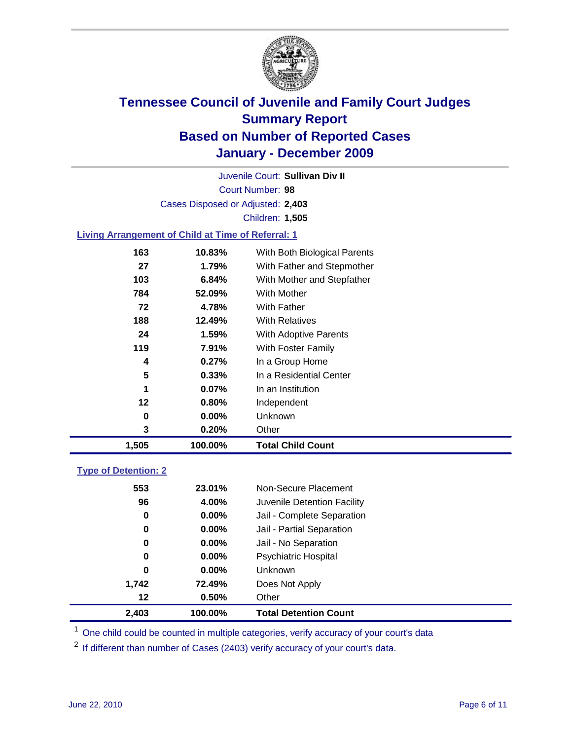

Court Number: **98** Juvenile Court: **Sullivan Div II** Cases Disposed or Adjusted: **2,403** Children: **1,505**

### **Living Arrangement of Child at Time of Referral: 1**

| 1,505 | 100.00%  | <b>Total Child Count</b>     |
|-------|----------|------------------------------|
| 3     | 0.20%    | Other                        |
| 0     | $0.00\%$ | Unknown                      |
| 12    | 0.80%    | Independent                  |
| 1     | $0.07\%$ | In an Institution            |
| 5     | 0.33%    | In a Residential Center      |
| 4     | 0.27%    | In a Group Home              |
| 119   | 7.91%    | With Foster Family           |
| 24    | 1.59%    | <b>With Adoptive Parents</b> |
| 188   | 12.49%   | <b>With Relatives</b>        |
| 72    | 4.78%    | With Father                  |
| 784   | 52.09%   | <b>With Mother</b>           |
| 103   | 6.84%    | With Mother and Stepfather   |
| 27    | 1.79%    | With Father and Stepmother   |
| 163   | 10.83%   | With Both Biological Parents |
|       |          |                              |

### **Type of Detention: 2**

| 2,403 | 100.00%  | <b>Total Detention Count</b> |  |
|-------|----------|------------------------------|--|
| 12    | 0.50%    | Other                        |  |
| 1,742 | 72.49%   | Does Not Apply               |  |
| 0     | $0.00\%$ | Unknown                      |  |
| 0     | 0.00%    | Psychiatric Hospital         |  |
| 0     | 0.00%    | Jail - No Separation         |  |
| 0     | $0.00\%$ | Jail - Partial Separation    |  |
| 0     | 0.00%    | Jail - Complete Separation   |  |
| 96    | 4.00%    | Juvenile Detention Facility  |  |
| 553   | 23.01%   | Non-Secure Placement         |  |
|       |          |                              |  |

<sup>1</sup> One child could be counted in multiple categories, verify accuracy of your court's data

<sup>2</sup> If different than number of Cases (2403) verify accuracy of your court's data.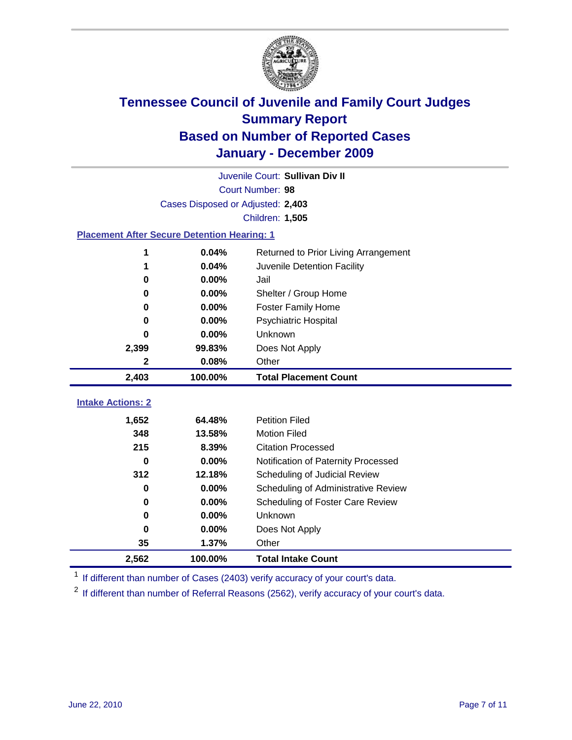

|                          | Juvenile Court: Sullivan Div II                    |                                      |  |  |  |
|--------------------------|----------------------------------------------------|--------------------------------------|--|--|--|
|                          | Court Number: 98                                   |                                      |  |  |  |
|                          | Cases Disposed or Adjusted: 2,403                  |                                      |  |  |  |
|                          | Children: 1,505                                    |                                      |  |  |  |
|                          | <b>Placement After Secure Detention Hearing: 1</b> |                                      |  |  |  |
| 1                        | 0.04%                                              | Returned to Prior Living Arrangement |  |  |  |
| 1                        | 0.04%                                              | Juvenile Detention Facility          |  |  |  |
| 0                        | 0.00%                                              | Jail                                 |  |  |  |
| 0                        | 0.00%                                              | Shelter / Group Home                 |  |  |  |
| 0                        | $0.00\%$                                           | <b>Foster Family Home</b>            |  |  |  |
| 0                        | 0.00%                                              | Psychiatric Hospital                 |  |  |  |
| O                        | $0.00\%$                                           | Unknown                              |  |  |  |
| 2,399                    | 99.83%                                             | Does Not Apply                       |  |  |  |
| $\overline{\mathbf{2}}$  | 0.08%                                              | Other                                |  |  |  |
| 2,403                    | 100.00%                                            | <b>Total Placement Count</b>         |  |  |  |
|                          |                                                    |                                      |  |  |  |
| <b>Intake Actions: 2</b> |                                                    |                                      |  |  |  |
| 1,652                    | 64.48%                                             | <b>Petition Filed</b>                |  |  |  |
| 348                      | 13.58%                                             | <b>Motion Filed</b>                  |  |  |  |
| 215                      | 8.39%                                              | <b>Citation Processed</b>            |  |  |  |
| $\bf{0}$                 | 0.00%                                              | Notification of Paternity Processed  |  |  |  |
| 312                      | 12.18%                                             | Scheduling of Judicial Review        |  |  |  |
| $\bf{0}$                 | 0.00%                                              | Scheduling of Administrative Review  |  |  |  |
| 0                        | $0.00\%$                                           | Scheduling of Foster Care Review     |  |  |  |
| 0                        | 0.00%                                              | Unknown                              |  |  |  |
| 0                        | 0.00%                                              | Does Not Apply                       |  |  |  |
| 35                       | 1.37%                                              | Other                                |  |  |  |
| 2,562                    | 100.00%                                            | <b>Total Intake Count</b>            |  |  |  |

<sup>1</sup> If different than number of Cases (2403) verify accuracy of your court's data.

<sup>2</sup> If different than number of Referral Reasons (2562), verify accuracy of your court's data.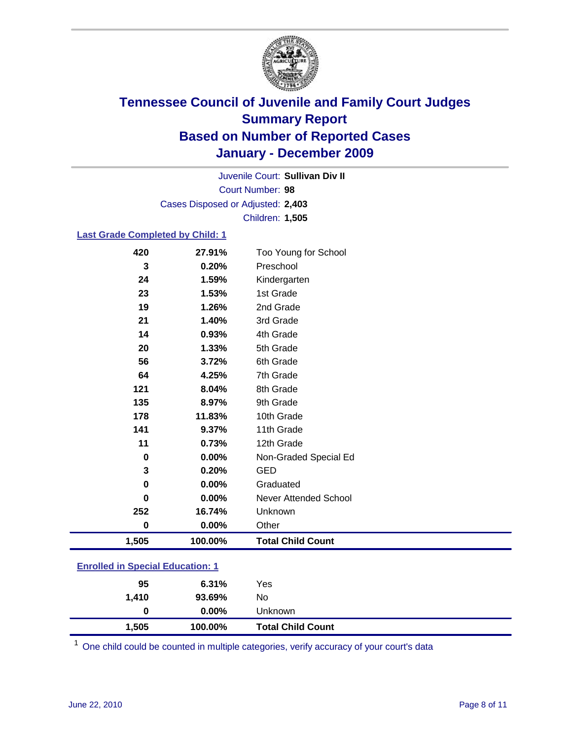

Court Number: **98** Juvenile Court: **Sullivan Div II** Cases Disposed or Adjusted: **2,403** Children: **1,505**

#### **Last Grade Completed by Child: 1**

| <b>Enrolled in Special Education: 1</b> |         |                              |  |
|-----------------------------------------|---------|------------------------------|--|
| 1,505                                   | 100.00% | <b>Total Child Count</b>     |  |
| $\bf{0}$                                | 0.00%   | Other                        |  |
| 252                                     | 16.74%  | Unknown                      |  |
| $\bf{0}$                                | 0.00%   | <b>Never Attended School</b> |  |
| 0                                       | 0.00%   | Graduated                    |  |
| 3                                       | 0.20%   | <b>GED</b>                   |  |
| 0                                       | 0.00%   | Non-Graded Special Ed        |  |
| 11                                      | 0.73%   | 12th Grade                   |  |
| 141                                     | 9.37%   | 11th Grade                   |  |
| 178                                     | 11.83%  | 10th Grade                   |  |
| 135                                     | 8.97%   | 9th Grade                    |  |
| 121                                     | 8.04%   | 8th Grade                    |  |
| 64                                      | 4.25%   | 7th Grade                    |  |
| 56                                      | 3.72%   | 6th Grade                    |  |
| 20                                      | 1.33%   | 5th Grade                    |  |
| 14                                      | 0.93%   | 4th Grade                    |  |
| 21                                      | 1.40%   | 3rd Grade                    |  |
| 19                                      | 1.26%   | 2nd Grade                    |  |
| 23                                      | 1.53%   | Kindergarten<br>1st Grade    |  |
| 24                                      | 1.59%   |                              |  |
| 3                                       | 0.20%   | Preschool                    |  |
| 420                                     | 27.91%  | Too Young for School         |  |

| 1,505 | 100.00%  | <b>Total Child Count</b> |  |
|-------|----------|--------------------------|--|
| 0     | $0.00\%$ | Unknown                  |  |
| 1,410 | 93.69%   | No                       |  |
| 95    | 6.31%    | Yes                      |  |
|       |          |                          |  |

One child could be counted in multiple categories, verify accuracy of your court's data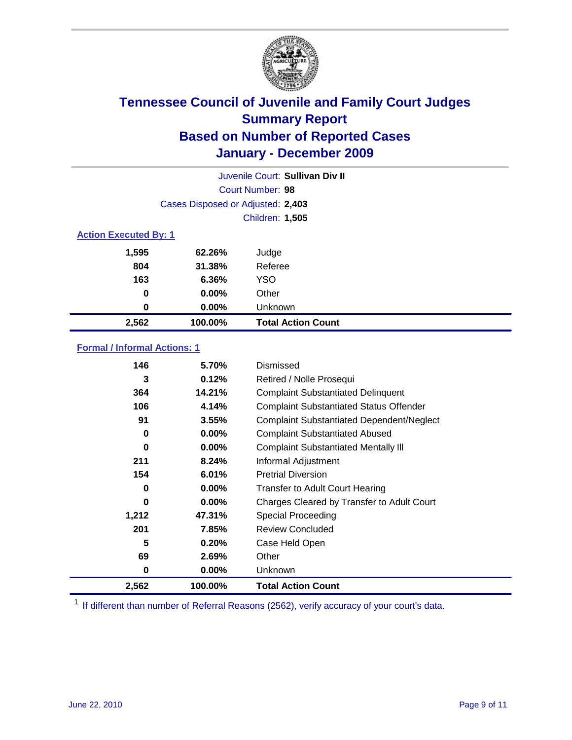

|       | Juvenile Court: Sullivan Div II   |                           |  |  |  |
|-------|-----------------------------------|---------------------------|--|--|--|
|       | Court Number: 98                  |                           |  |  |  |
|       | Cases Disposed or Adjusted: 2,403 |                           |  |  |  |
|       | Children: 1,505                   |                           |  |  |  |
|       | <b>Action Executed By: 1</b>      |                           |  |  |  |
| 1,595 | 62.26%                            | Judge                     |  |  |  |
| 804   | 31.38%                            | Referee                   |  |  |  |
| 163   | 6.36%                             | <b>YSO</b>                |  |  |  |
| 0     | $0.00\%$                          | Other                     |  |  |  |
| 0     | 0.00%                             | Unknown                   |  |  |  |
| 2,562 | 100.00%                           | <b>Total Action Count</b> |  |  |  |

### **Formal / Informal Actions: 1**

| 146   | 5.70%    | Dismissed                                        |
|-------|----------|--------------------------------------------------|
| 3     | 0.12%    | Retired / Nolle Prosequi                         |
| 364   | 14.21%   | <b>Complaint Substantiated Delinquent</b>        |
| 106   | 4.14%    | <b>Complaint Substantiated Status Offender</b>   |
| 91    | 3.55%    | <b>Complaint Substantiated Dependent/Neglect</b> |
| 0     | $0.00\%$ | <b>Complaint Substantiated Abused</b>            |
| 0     | $0.00\%$ | <b>Complaint Substantiated Mentally III</b>      |
| 211   | 8.24%    | Informal Adjustment                              |
| 154   | 6.01%    | <b>Pretrial Diversion</b>                        |
| 0     | $0.00\%$ | <b>Transfer to Adult Court Hearing</b>           |
| 0     | $0.00\%$ | Charges Cleared by Transfer to Adult Court       |
| 1,212 | 47.31%   | <b>Special Proceeding</b>                        |
| 201   | 7.85%    | <b>Review Concluded</b>                          |
| 5     | 0.20%    | Case Held Open                                   |
| 69    | 2.69%    | Other                                            |
| 0     | $0.00\%$ | Unknown                                          |
| 2,562 | 100.00%  | Total Action Count                               |

<sup>1</sup> If different than number of Referral Reasons (2562), verify accuracy of your court's data.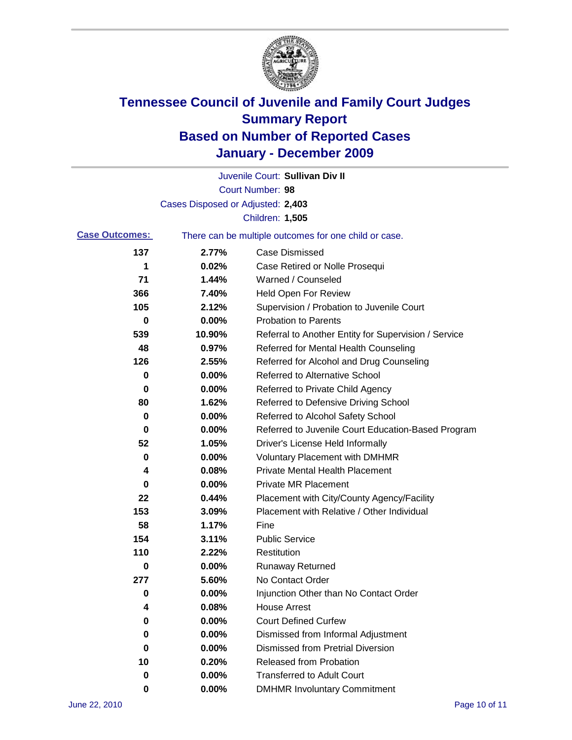

|                       |                                   | Juvenile Court: Sullivan Div II                       |
|-----------------------|-----------------------------------|-------------------------------------------------------|
|                       |                                   | Court Number: 98                                      |
|                       | Cases Disposed or Adjusted: 2,403 |                                                       |
|                       |                                   | Children: 1,505                                       |
| <b>Case Outcomes:</b> |                                   | There can be multiple outcomes for one child or case. |
| 137                   | 2.77%                             | <b>Case Dismissed</b>                                 |
| 1                     | 0.02%                             | Case Retired or Nolle Prosequi                        |
| 71                    | 1.44%                             | Warned / Counseled                                    |
| 366                   | 7.40%                             | <b>Held Open For Review</b>                           |
| 105                   | 2.12%                             | Supervision / Probation to Juvenile Court             |
| 0                     | 0.00%                             | <b>Probation to Parents</b>                           |
| 539                   | 10.90%                            | Referral to Another Entity for Supervision / Service  |
| 48                    | 0.97%                             | Referred for Mental Health Counseling                 |
| 126                   | 2.55%                             | Referred for Alcohol and Drug Counseling              |
| 0                     | 0.00%                             | <b>Referred to Alternative School</b>                 |
| 0                     | 0.00%                             | Referred to Private Child Agency                      |
| 80                    | 1.62%                             | Referred to Defensive Driving School                  |
| 0                     | 0.00%                             | Referred to Alcohol Safety School                     |
| 0                     | 0.00%                             | Referred to Juvenile Court Education-Based Program    |
| 52                    | 1.05%                             | Driver's License Held Informally                      |
| 0                     | 0.00%                             | <b>Voluntary Placement with DMHMR</b>                 |
| 4                     | 0.08%                             | <b>Private Mental Health Placement</b>                |
| 0                     | 0.00%                             | <b>Private MR Placement</b>                           |
| 22                    | 0.44%                             | Placement with City/County Agency/Facility            |
| 153                   | 3.09%                             | Placement with Relative / Other Individual            |
| 58                    | 1.17%                             | Fine                                                  |
| 154                   | 3.11%                             | <b>Public Service</b>                                 |
| 110                   | 2.22%                             | Restitution                                           |
| 0                     | 0.00%                             | <b>Runaway Returned</b>                               |
| 277                   | 5.60%                             | No Contact Order                                      |
| 0                     | 0.00%                             | Injunction Other than No Contact Order                |
| 4                     | 0.08%                             | <b>House Arrest</b>                                   |
| 0                     | 0.00%                             | <b>Court Defined Curfew</b>                           |
| 0                     | 0.00%                             | Dismissed from Informal Adjustment                    |
| 0                     | 0.00%                             | <b>Dismissed from Pretrial Diversion</b>              |
| 10                    | 0.20%                             | Released from Probation                               |
| 0                     | 0.00%                             | <b>Transferred to Adult Court</b>                     |
| 0                     | $0.00\%$                          | <b>DMHMR Involuntary Commitment</b>                   |